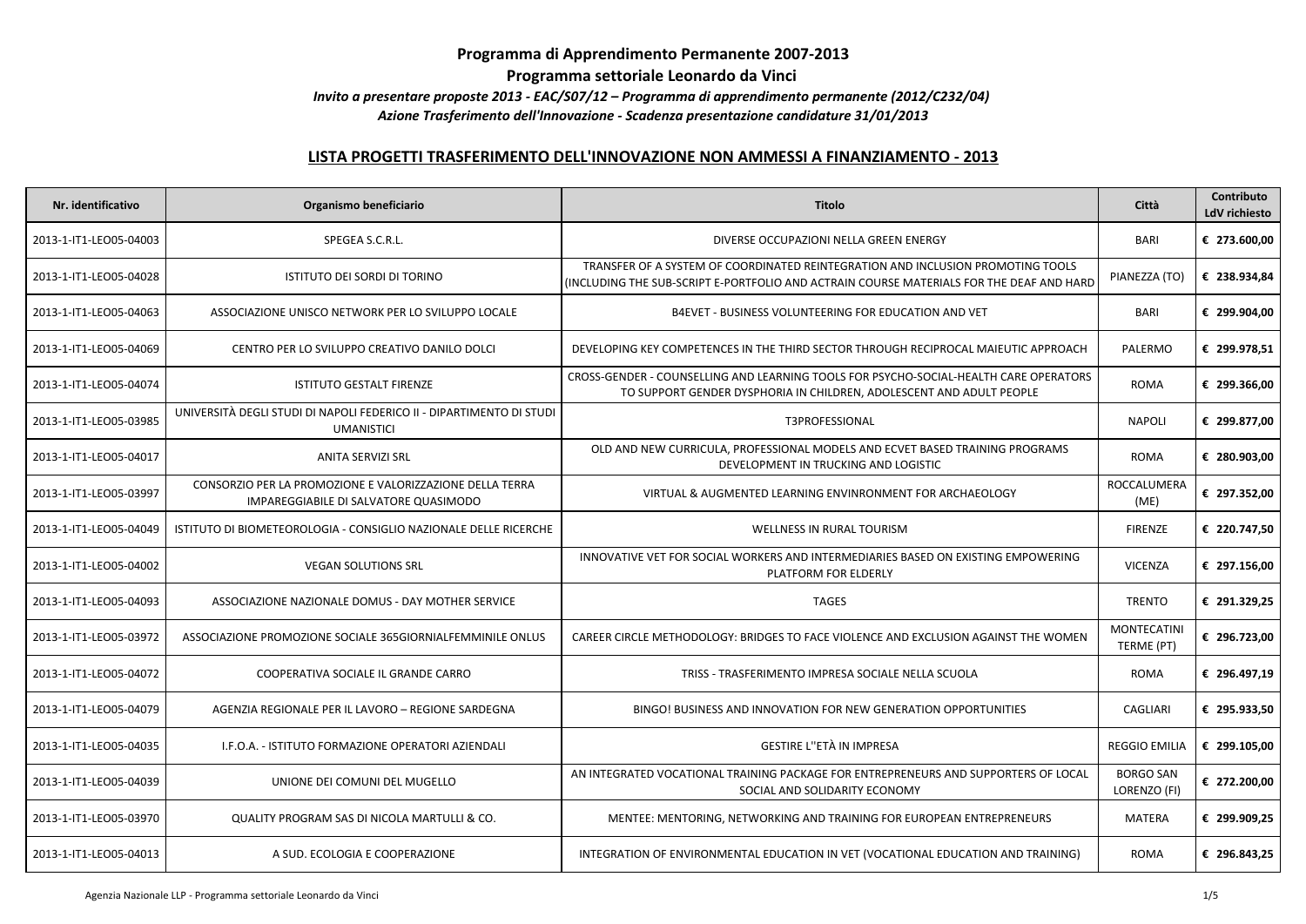## **Programma di Apprendimento Permanente 2007-2013**

**Programma settoriale Leonardo da Vinci**

*Invito a presentare proposte 2013 - EAC/S07/12 – Programma di apprendimento permanente (2012/C232/04)*

 *Azione Trasferimento dell'Innovazione - Scadenza presentazione candidature 31/01/2013*

## **LISTA PROGETTI TRASFERIMENTO DELL'INNOVAZIONE NON AMMESSI A FINANZIAMENTO - 2013**

| Nr. identificativo     | Organismo beneficiario                                                                            | Titolo                                                                                                                                                                      | Città                            | Contributo<br>LdV richiesto |
|------------------------|---------------------------------------------------------------------------------------------------|-----------------------------------------------------------------------------------------------------------------------------------------------------------------------------|----------------------------------|-----------------------------|
| 2013-1-IT1-LEO05-04003 | SPEGEA S.C.R.L.                                                                                   | DIVERSE OCCUPAZIONI NELLA GREEN ENERGY                                                                                                                                      | <b>BARI</b>                      | € 273.600,00                |
| 2013-1-IT1-LEO05-04028 | ISTITUTO DEI SORDI DI TORINO                                                                      | TRANSFER OF A SYSTEM OF COORDINATED REINTEGRATION AND INCLUSION PROMOTING TOOLS<br>(INCLUDING THE SUB-SCRIPT E-PORTFOLIO AND ACTRAIN COURSE MATERIALS FOR THE DEAF AND HARD | PIANEZZA (TO)                    | € 238.934,84                |
| 2013-1-IT1-LEO05-04063 | ASSOCIAZIONE UNISCO NETWORK PER LO SVILUPPO LOCALE                                                | B4EVET - BUSINESS VOLUNTEERING FOR EDUCATION AND VET                                                                                                                        | <b>BARI</b>                      | € 299.904,00                |
| 2013-1-IT1-LEO05-04069 | CENTRO PER LO SVILUPPO CREATIVO DANILO DOLCI                                                      | DEVELOPING KEY COMPETENCES IN THE THIRD SECTOR THROUGH RECIPROCAL MAIEUTIC APPROACH                                                                                         | PALERMO                          | € 299.978,51                |
| 2013-1-IT1-LEO05-04074 | <b>ISTITUTO GESTALT FIRENZE</b>                                                                   | CROSS-GENDER - COUNSELLING AND LEARNING TOOLS FOR PSYCHO-SOCIAL-HEALTH CARE OPERATORS<br>TO SUPPORT GENDER DYSPHORIA IN CHILDREN, ADOLESCENT AND ADULT PEOPLE               | <b>ROMA</b>                      | € 299.366,00                |
| 2013-1-IT1-LEO05-03985 | UNIVERSITÀ DEGLI STUDI DI NAPOLI FEDERICO II - DIPARTIMENTO DI STUDI<br><b>UMANISTICI</b>         | T3PROFESSIONAL                                                                                                                                                              | <b>NAPOLI</b>                    | € 299.877,00                |
| 2013-1-IT1-LEO05-04017 | <b>ANITA SERVIZI SRL</b>                                                                          | OLD AND NEW CURRICULA, PROFESSIONAL MODELS AND ECVET BASED TRAINING PROGRAMS<br>DEVELOPMENT IN TRUCKING AND LOGISTIC                                                        | <b>ROMA</b>                      | € 280.903,00                |
| 2013-1-IT1-LEO05-03997 | CONSORZIO PER LA PROMOZIONE E VALORIZZAZIONE DELLA TERRA<br>IMPAREGGIABILE DI SALVATORE QUASIMODO | VIRTUAL & AUGMENTED LEARNING ENVINRONMENT FOR ARCHAEOLOGY                                                                                                                   | ROCCALUMERA<br>(ME)              | € 297.352,00                |
| 2013-1-IT1-LEO05-04049 | ISTITUTO DI BIOMETEOROLOGIA - CONSIGLIO NAZIONALE DELLE RICERCHE                                  | <b>WELLNESS IN RURAL TOURISM</b>                                                                                                                                            | <b>FIRENZE</b>                   | € 220.747,50                |
| 2013-1-IT1-LEO05-04002 | <b>VEGAN SOLUTIONS SRL</b>                                                                        | INNOVATIVE VET FOR SOCIAL WORKERS AND INTERMEDIARIES BASED ON EXISTING EMPOWERING<br>PLATFORM FOR ELDERLY                                                                   | <b>VICENZA</b>                   | € 297.156,00                |
| 2013-1-IT1-LEO05-04093 | ASSOCIAZIONE NAZIONALE DOMUS - DAY MOTHER SERVICE                                                 | <b>TAGES</b>                                                                                                                                                                | <b>TRENTO</b>                    | € 291.329,25                |
| 2013-1-IT1-LEO05-03972 | ASSOCIAZIONE PROMOZIONE SOCIALE 365GIORNIALFEMMINILE ONLUS                                        | CAREER CIRCLE METHODOLOGY: BRIDGES TO FACE VIOLENCE AND EXCLUSION AGAINST THE WOMEN                                                                                         | <b>MONTECATINI</b><br>TERME (PT) | € 296.723,00                |
| 2013-1-IT1-LEO05-04072 | COOPERATIVA SOCIALE IL GRANDE CARRO                                                               | TRISS - TRASFERIMENTO IMPRESA SOCIALE NELLA SCUOLA                                                                                                                          | <b>ROMA</b>                      | € 296.497,19                |
| 2013-1-IT1-LEO05-04079 | AGENZIA REGIONALE PER IL LAVORO - REGIONE SARDEGNA                                                | BINGO! BUSINESS AND INNOVATION FOR NEW GENERATION OPPORTUNITIES                                                                                                             | <b>CAGLIARI</b>                  | € 295.933,50                |
| 2013-1-IT1-LEO05-04035 | I.F.O.A. - ISTITUTO FORMAZIONE OPERATORI AZIENDALI                                                | <b>GESTIRE L"ETÀ IN IMPRESA</b>                                                                                                                                             | <b>REGGIO EMILIA</b>             | € 299.105,00                |
| 2013-1-IT1-LEO05-04039 | UNIONE DEI COMUNI DEL MUGELLO                                                                     | AN INTEGRATED VOCATIONAL TRAINING PACKAGE FOR ENTREPRENEURS AND SUPPORTERS OF LOCAL<br>SOCIAL AND SOLIDARITY ECONOMY                                                        | <b>BORGO SAN</b><br>LORENZO (FI) | € 272.200,00                |
| 2013-1-IT1-LEO05-03970 | QUALITY PROGRAM SAS DI NICOLA MARTULLI & CO.                                                      | MENTEE: MENTORING, NETWORKING AND TRAINING FOR EUROPEAN ENTREPRENEURS                                                                                                       | <b>MATERA</b>                    | € 299.909,25                |
| 2013-1-IT1-LEO05-04013 | A SUD. ECOLOGIA E COOPERAZIONE                                                                    | INTEGRATION OF ENVIRONMENTAL EDUCATION IN VET (VOCATIONAL EDUCATION AND TRAINING)                                                                                           | <b>ROMA</b>                      | € 296.843,25                |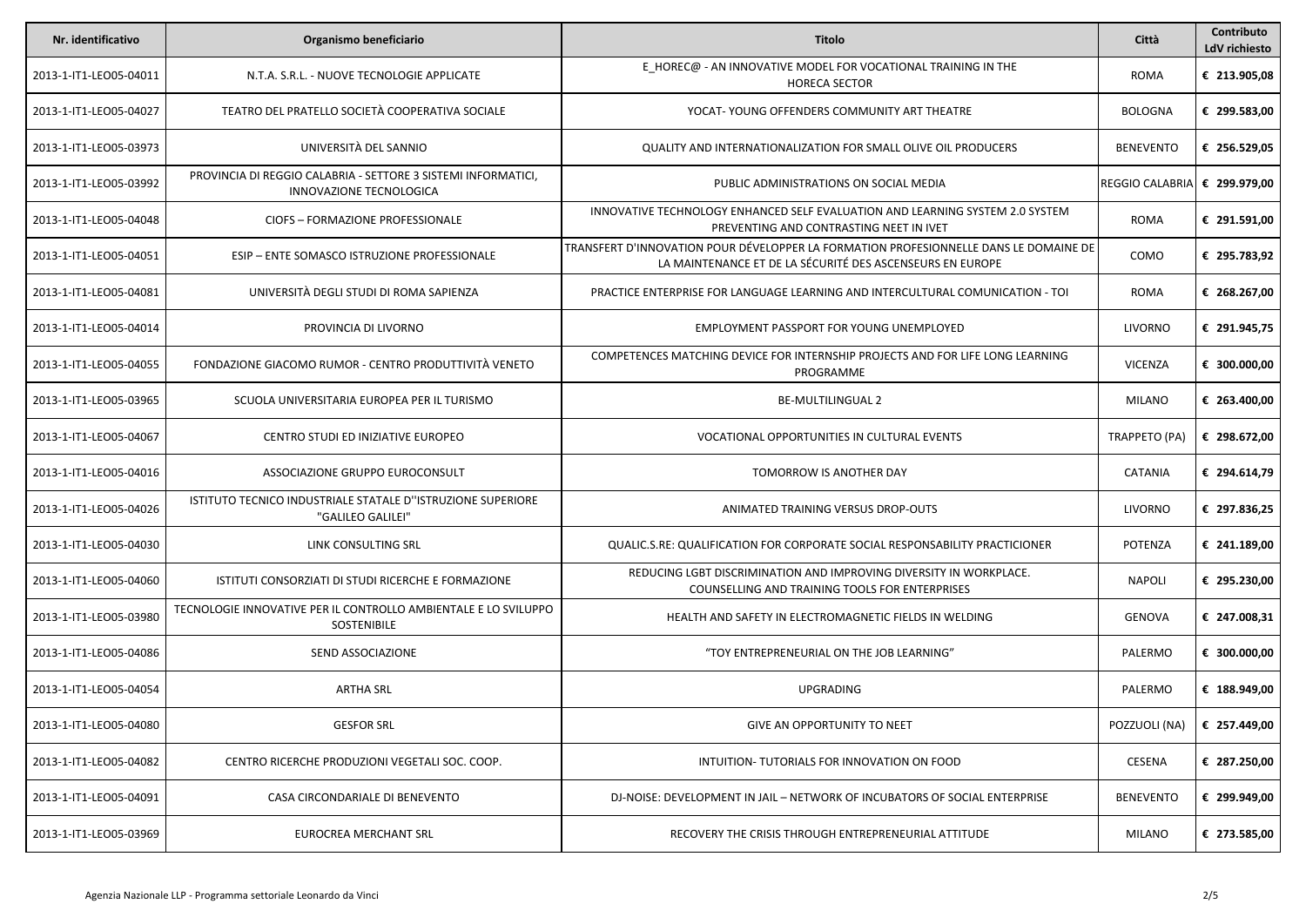| Nr. identificativo     | Organismo beneficiario                                                                   | <b>Titolo</b>                                                                                                                                      | Città                  | Contributo<br>LdV richiesto |
|------------------------|------------------------------------------------------------------------------------------|----------------------------------------------------------------------------------------------------------------------------------------------------|------------------------|-----------------------------|
| 2013-1-IT1-LEO05-04011 | N.T.A. S.R.L. - NUOVE TECNOLOGIE APPLICATE                                               | E HOREC@ - AN INNOVATIVE MODEL FOR VOCATIONAL TRAINING IN THE<br><b>HORECA SECTOR</b>                                                              | <b>ROMA</b>            | € 213.905,08                |
| 2013-1-IT1-LEO05-04027 | TEATRO DEL PRATELLO SOCIETÀ COOPERATIVA SOCIALE                                          | YOCAT-YOUNG OFFENDERS COMMUNITY ART THEATRE                                                                                                        | <b>BOLOGNA</b>         | € 299.583,00                |
| 2013-1-IT1-LEO05-03973 | UNIVERSITÀ DEL SANNIO                                                                    | <b>QUALITY AND INTERNATIONALIZATION FOR SMALL OLIVE OIL PRODUCERS</b>                                                                              | <b>BENEVENTO</b>       | € 256.529,05                |
| 2013-1-IT1-LEO05-03992 | PROVINCIA DI REGGIO CALABRIA - SETTORE 3 SISTEMI INFORMATICI,<br>INNOVAZIONE TECNOLOGICA | PUBLIC ADMINISTRATIONS ON SOCIAL MEDIA                                                                                                             | <b>REGGIO CALABRIA</b> | € 299.979,00                |
| 2013-1-IT1-LEO05-04048 | CIOFS - FORMAZIONE PROFESSIONALE                                                         | INNOVATIVE TECHNOLOGY ENHANCED SELF EVALUATION AND LEARNING SYSTEM 2.0 SYSTEM<br>PREVENTING AND CONTRASTING NEET IN IVET                           | <b>ROMA</b>            | € 291.591,00                |
| 2013-1-IT1-LEO05-04051 | ESIP - ENTE SOMASCO ISTRUZIONE PROFESSIONALE                                             | TRANSFERT D'INNOVATION POUR DÉVELOPPER LA FORMATION PROFESIONNELLE DANS LE DOMAINE DE<br>LA MAINTENANCE ET DE LA SÉCURITÉ DES ASCENSEURS EN EUROPE | COMO                   | € 295.783,92                |
| 2013-1-IT1-LEO05-04081 | UNIVERSITÀ DEGLI STUDI DI ROMA SAPIENZA                                                  | PRACTICE ENTERPRISE FOR LANGUAGE LEARNING AND INTERCULTURAL COMUNICATION - TOI                                                                     | <b>ROMA</b>            | € 268.267,00                |
| 2013-1-IT1-LEO05-04014 | PROVINCIA DI LIVORNO                                                                     | EMPLOYMENT PASSPORT FOR YOUNG UNEMPLOYED                                                                                                           | LIVORNO                | € 291.945,75                |
| 2013-1-IT1-LEO05-04055 | FONDAZIONE GIACOMO RUMOR - CENTRO PRODUTTIVITÀ VENETO                                    | COMPETENCES MATCHING DEVICE FOR INTERNSHIP PROJECTS AND FOR LIFE LONG LEARNING<br>PROGRAMME                                                        | <b>VICENZA</b>         | € 300.000,00                |
| 2013-1-IT1-LEO05-03965 | SCUOLA UNIVERSITARIA EUROPEA PER IL TURISMO                                              | <b>BE-MULTILINGUAL 2</b>                                                                                                                           | MILANO                 | € 263.400,00                |
| 2013-1-IT1-LEO05-04067 | CENTRO STUDI ED INIZIATIVE EUROPEO                                                       | VOCATIONAL OPPORTUNITIES IN CULTURAL EVENTS                                                                                                        | <b>TRAPPETO (PA)</b>   | € 298.672,00                |
| 2013-1-IT1-LEO05-04016 | ASSOCIAZIONE GRUPPO EUROCONSULT                                                          | TOMORROW IS ANOTHER DAY                                                                                                                            | CATANIA                | € 294.614,79                |
| 2013-1-IT1-LEO05-04026 | ISTITUTO TECNICO INDUSTRIALE STATALE D"ISTRUZIONE SUPERIORE<br>"GALILEO GALILEI"         | ANIMATED TRAINING VERSUS DROP-OUTS                                                                                                                 | LIVORNO                | € 297.836,25                |
| 2013-1-IT1-LEO05-04030 | LINK CONSULTING SRL                                                                      | QUALIC.S.RE: QUALIFICATION FOR CORPORATE SOCIAL RESPONSABILITY PRACTICIONER                                                                        | POTENZA                | € 241.189,00                |
| 2013-1-IT1-LEO05-04060 | ISTITUTI CONSORZIATI DI STUDI RICERCHE E FORMAZIONE                                      | REDUCING LGBT DISCRIMINATION AND IMPROVING DIVERSITY IN WORKPLACE.<br>COUNSELLING AND TRAINING TOOLS FOR ENTERPRISES                               | <b>NAPOLI</b>          | € 295.230,00                |
| 2013-1-IT1-LEO05-03980 | TECNOLOGIE INNOVATIVE PER IL CONTROLLO AMBIENTALE E LO SVILUPPO<br>SOSTENIBILE           | HEALTH AND SAFETY IN ELECTROMAGNETIC FIELDS IN WELDING                                                                                             | <b>GENOVA</b>          | € 247.008,31                |
| 2013-1-IT1-LEO05-04086 | SEND ASSOCIAZIONE                                                                        | "TOY ENTREPRENEURIAL ON THE JOB LEARNING"                                                                                                          | PALERMO                | € 300.000,00                |
| 2013-1-IT1-LEO05-04054 | ARTHA SRL                                                                                | <b>UPGRADING</b>                                                                                                                                   | PALERMO                | € 188.949,00                |
| 2013-1-IT1-LEO05-04080 | <b>GESFOR SRL</b>                                                                        | <b>GIVE AN OPPORTUNITY TO NEET</b>                                                                                                                 | POZZUOLI (NA)          | € 257.449,00                |
| 2013-1-IT1-LEO05-04082 | CENTRO RICERCHE PRODUZIONI VEGETALI SOC. COOP.                                           | INTUITION-TUTORIALS FOR INNOVATION ON FOOD                                                                                                         | CESENA                 | € 287.250,00                |
| 2013-1-IT1-LEO05-04091 | CASA CIRCONDARIALE DI BENEVENTO                                                          | DJ-NOISE: DEVELOPMENT IN JAIL - NETWORK OF INCUBATORS OF SOCIAL ENTERPRISE                                                                         | <b>BENEVENTO</b>       | € 299.949,00                |
| 2013-1-IT1-LEO05-03969 | EUROCREA MERCHANT SRL                                                                    | RECOVERY THE CRISIS THROUGH ENTREPRENEURIAL ATTITUDE                                                                                               | MILANO                 | € 273.585,00                |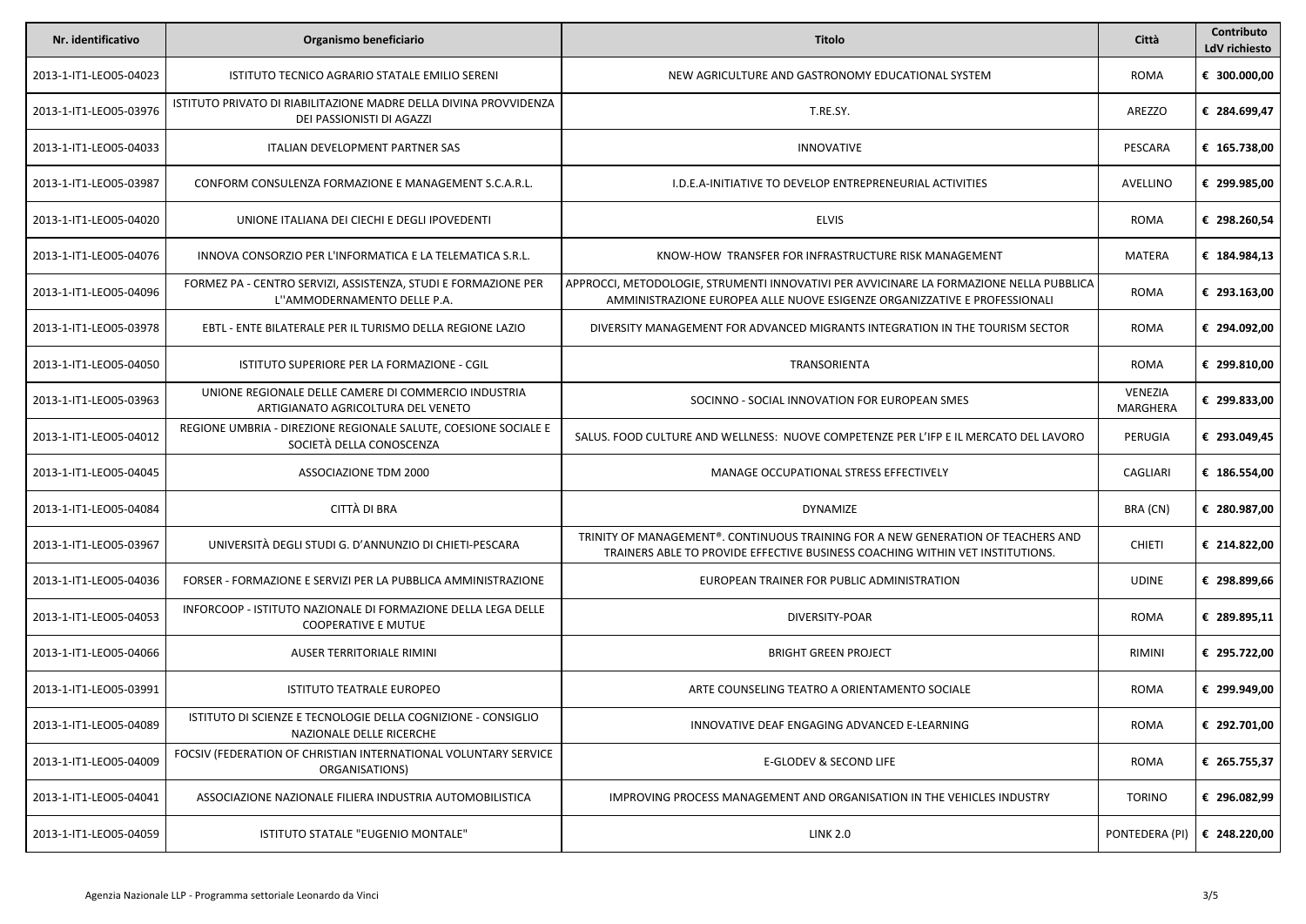| Nr. identificativo     | Organismo beneficiario                                                                         | Titolo                                                                                                                                                               | Città                      | Contributo<br>LdV richiesto |
|------------------------|------------------------------------------------------------------------------------------------|----------------------------------------------------------------------------------------------------------------------------------------------------------------------|----------------------------|-----------------------------|
| 2013-1-IT1-LEO05-04023 | ISTITUTO TECNICO AGRARIO STATALE EMILIO SERENI                                                 | NEW AGRICULTURE AND GASTRONOMY EDUCATIONAL SYSTEM                                                                                                                    | <b>ROMA</b>                | € 300.000,00                |
| 2013-1-IT1-LEO05-03976 | ISTITUTO PRIVATO DI RIABILITAZIONE MADRE DELLA DIVINA PROVVIDENZA<br>DEI PASSIONISTI DI AGAZZI | T.RE.SY.                                                                                                                                                             | AREZZO                     | € 284.699,47                |
| 2013-1-IT1-LEO05-04033 | ITALIAN DEVELOPMENT PARTNER SAS                                                                | <b>INNOVATIVE</b>                                                                                                                                                    | PESCARA                    | € 165.738,00                |
| 2013-1-IT1-LEO05-03987 | CONFORM CONSULENZA FORMAZIONE E MANAGEMENT S.C.A.R.L.                                          | I.D.E.A-INITIATIVE TO DEVELOP ENTREPRENEURIAL ACTIVITIES                                                                                                             | AVELLINO                   | € 299.985,00                |
| 2013-1-IT1-LEO05-04020 | UNIONE ITALIANA DEI CIECHI E DEGLI IPOVEDENTI                                                  | <b>ELVIS</b>                                                                                                                                                         | <b>ROMA</b>                | € 298.260,54                |
| 2013-1-IT1-LEO05-04076 | INNOVA CONSORZIO PER L'INFORMATICA E LA TELEMATICA S.R.L.                                      | KNOW-HOW TRANSFER FOR INFRASTRUCTURE RISK MANAGEMENT                                                                                                                 | MATERA                     | € 184.984,13                |
| 2013-1-IT1-LEO05-04096 | FORMEZ PA - CENTRO SERVIZI, ASSISTENZA, STUDI E FORMAZIONE PER<br>L"AMMODERNAMENTO DELLE P.A.  | APPROCCI, METODOLOGIE, STRUMENTI INNOVATIVI PER AVVICINARE LA FORMAZIONE NELLA PUBBLICA<br>AMMINISTRAZIONE EUROPEA ALLE NUOVE ESIGENZE ORGANIZZATIVE E PROFESSIONALI | <b>ROMA</b>                | € 293.163,00                |
| 2013-1-IT1-LEO05-03978 | EBTL - ENTE BILATERALE PER IL TURISMO DELLA REGIONE LAZIO                                      | DIVERSITY MANAGEMENT FOR ADVANCED MIGRANTS INTEGRATION IN THE TOURISM SECTOR                                                                                         | <b>ROMA</b>                | € 294.092,00                |
| 2013-1-IT1-LEO05-04050 | ISTITUTO SUPERIORE PER LA FORMAZIONE - CGIL                                                    | TRANSORIENTA                                                                                                                                                         | <b>ROMA</b>                | € 299.810,00                |
| 2013-1-IT1-LEO05-03963 | UNIONE REGIONALE DELLE CAMERE DI COMMERCIO INDUSTRIA<br>ARTIGIANATO AGRICOLTURA DEL VENETO     | SOCINNO - SOCIAL INNOVATION FOR EUROPEAN SMES                                                                                                                        | VENEZIA<br><b>MARGHERA</b> | € 299.833,00                |
| 2013-1-IT1-LEO05-04012 | REGIONE UMBRIA - DIREZIONE REGIONALE SALUTE, COESIONE SOCIALE E<br>SOCIETÀ DELLA CONOSCENZA    | SALUS. FOOD CULTURE AND WELLNESS: NUOVE COMPETENZE PER L'IFP E IL MERCATO DEL LAVORO                                                                                 | PERUGIA                    | € 293.049,45                |
| 2013-1-IT1-LEO05-04045 | ASSOCIAZIONE TDM 2000                                                                          | MANAGE OCCUPATIONAL STRESS EFFECTIVELY                                                                                                                               | CAGLIARI                   | € 186.554,00                |
| 2013-1-IT1-LEO05-04084 | CITTÀ DI BRA                                                                                   | <b>DYNAMIZE</b>                                                                                                                                                      | BRA (CN)                   | € 280.987,00                |
| 2013-1-IT1-LEO05-03967 | UNIVERSITÀ DEGLI STUDI G. D'ANNUNZIO DI CHIETI-PESCARA                                         | TRINITY OF MANAGEMENT®. CONTINUOUS TRAINING FOR A NEW GENERATION OF TEACHERS AND<br>TRAINERS ABLE TO PROVIDE EFFECTIVE BUSINESS COACHING WITHIN VET INSTITUTIONS.    | <b>CHIETI</b>              | € 214.822,00                |
| 2013-1-IT1-LEO05-04036 | FORSER - FORMAZIONE E SERVIZI PER LA PUBBLICA AMMINISTRAZIONE                                  | EUROPEAN TRAINER FOR PUBLIC ADMINISTRATION                                                                                                                           | <b>UDINE</b>               | € 298.899,66                |
| 2013-1-IT1-LEO05-04053 | INFORCOOP - ISTITUTO NAZIONALE DI FORMAZIONE DELLA LEGA DELLE<br><b>COOPERATIVE E MUTUE</b>    | DIVERSITY-POAR                                                                                                                                                       | <b>ROMA</b>                | € 289.895,11                |
| 2013-1-IT1-LEO05-04066 | AUSER TERRITORIALE RIMINI                                                                      | <b>BRIGHT GREEN PROJECT</b>                                                                                                                                          | RIMINI                     | € 295.722,00                |
| 2013-1-IT1-LEO05-03991 | <b>ISTITUTO TEATRALE EUROPEO</b>                                                               | ARTE COUNSELING TEATRO A ORIENTAMENTO SOCIALE                                                                                                                        | <b>ROMA</b>                | € 299.949,00                |
| 2013-1-IT1-LEO05-04089 | ISTITUTO DI SCIENZE E TECNOLOGIE DELLA COGNIZIONE - CONSIGLIO<br>NAZIONALE DELLE RICERCHE      | INNOVATIVE DEAF ENGAGING ADVANCED E-LEARNING                                                                                                                         | <b>ROMA</b>                | € 292.701,00                |
| 2013-1-IT1-LEO05-04009 | FOCSIV (FEDERATION OF CHRISTIAN INTERNATIONAL VOLUNTARY SERVICE<br>ORGANISATIONS)              | E-GLODEV & SECOND LIFE                                                                                                                                               | <b>ROMA</b>                | € 265.755,37                |
| 2013-1-IT1-LEO05-04041 | ASSOCIAZIONE NAZIONALE FILIERA INDUSTRIA AUTOMOBILISTICA                                       | IMPROVING PROCESS MANAGEMENT AND ORGANISATION IN THE VEHICLES INDUSTRY                                                                                               | <b>TORINO</b>              | € 296.082.99                |
| 2013-1-IT1-LEO05-04059 | ISTITUTO STATALE "EUGENIO MONTALE"                                                             | <b>LINK 2.0</b>                                                                                                                                                      | PONTEDERA (PI)             | € 248.220,00                |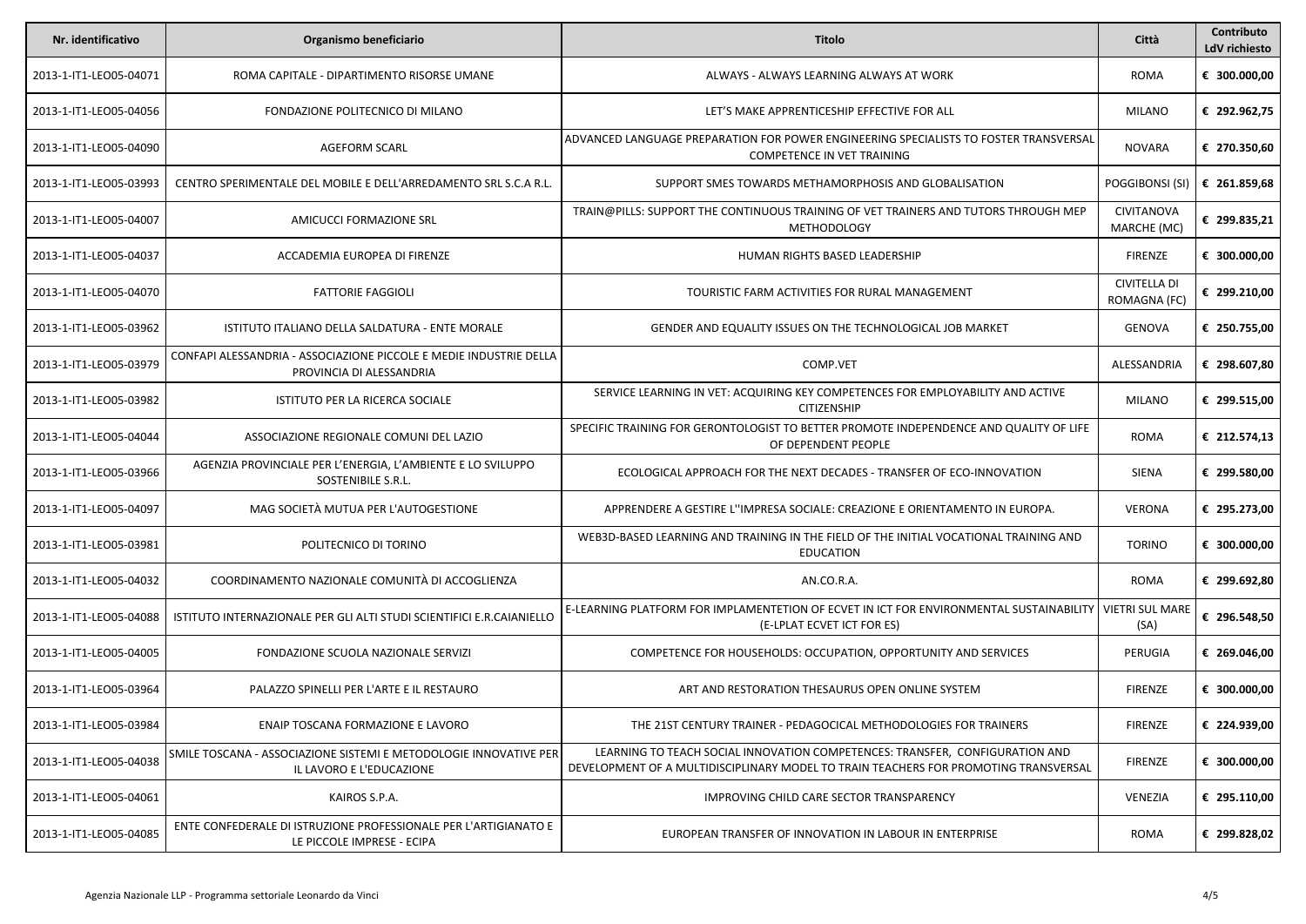| Nr. identificativo     | Organismo beneficiario                                                                         | Titolo                                                                                                                                                               | Città                               | Contributo<br>LdV richiesto |
|------------------------|------------------------------------------------------------------------------------------------|----------------------------------------------------------------------------------------------------------------------------------------------------------------------|-------------------------------------|-----------------------------|
| 2013-1-IT1-LEO05-04071 | ROMA CAPITALE - DIPARTIMENTO RISORSE UMANE                                                     | ALWAYS - ALWAYS LEARNING ALWAYS AT WORK                                                                                                                              | ROMA                                | € 300.000,00                |
| 2013-1-IT1-LEO05-04056 | FONDAZIONE POLITECNICO DI MILANO                                                               | LET'S MAKE APPRENTICESHIP EFFECTIVE FOR ALL                                                                                                                          | MILANO                              | € 292.962,75                |
| 2013-1-IT1-LEO05-04090 | <b>AGEFORM SCARL</b>                                                                           | ADVANCED LANGUAGE PREPARATION FOR POWER ENGINEERING SPECIALISTS TO FOSTER TRANSVERSAL<br>COMPETENCE IN VET TRAINING                                                  | NOVARA                              | € 270.350,60                |
| 2013-1-IT1-LEO05-03993 | CENTRO SPERIMENTALE DEL MOBILE E DELL'ARREDAMENTO SRL S.C.A R.L.                               | SUPPORT SMES TOWARDS METHAMORPHOSIS AND GLOBALISATION                                                                                                                | POGGIBONSI (SI)                     | € 261.859,68                |
| 2013-1-IT1-LEO05-04007 | AMICUCCI FORMAZIONE SRL                                                                        | TRAIN@PILLS: SUPPORT THE CONTINUOUS TRAINING OF VET TRAINERS AND TUTORS THROUGH MEP<br><b>METHODOLOGY</b>                                                            | CIVITANOVA<br>MARCHE (MC)           | € 299.835,21                |
| 2013-1-IT1-LEO05-04037 | ACCADEMIA EUROPEA DI FIRENZE                                                                   | HUMAN RIGHTS BASED LEADERSHIP                                                                                                                                        | FIRENZE                             | € 300.000,00                |
| 2013-1-IT1-LEO05-04070 | <b>FATTORIE FAGGIOLI</b>                                                                       | TOURISTIC FARM ACTIVITIES FOR RURAL MANAGEMENT                                                                                                                       | <b>CIVITELLA DI</b><br>ROMAGNA (FC) | € 299.210,00                |
| 2013-1-IT1-LEO05-03962 | ISTITUTO ITALIANO DELLA SALDATURA - ENTE MORALE                                                | GENDER AND EQUALITY ISSUES ON THE TECHNOLOGICAL JOB MARKET                                                                                                           | GENOVA                              | € 250.755,00                |
| 2013-1-IT1-LEO05-03979 | CONFAPI ALESSANDRIA - ASSOCIAZIONE PICCOLE E MEDIE INDUSTRIE DELLA<br>PROVINCIA DI ALESSANDRIA | COMP.VET                                                                                                                                                             | ALESSANDRIA                         | € 298.607,80                |
| 2013-1-IT1-LEO05-03982 | ISTITUTO PER LA RICERCA SOCIALE                                                                | SERVICE LEARNING IN VET: ACQUIRING KEY COMPETENCES FOR EMPLOYABILITY AND ACTIVE<br><b>CITIZENSHIP</b>                                                                | MILANO                              | € 299.515,00                |
| 2013-1-IT1-LEO05-04044 | ASSOCIAZIONE REGIONALE COMUNI DEL LAZIO                                                        | SPECIFIC TRAINING FOR GERONTOLOGIST TO BETTER PROMOTE INDEPENDENCE AND QUALITY OF LIFE<br>OF DEPENDENT PEOPLE                                                        | <b>ROMA</b>                         | € 212.574,13                |
| 2013-1-IT1-LEO05-03966 | AGENZIA PROVINCIALE PER L'ENERGIA, L'AMBIENTE E LO SVILUPPO<br>SOSTENIBILE S.R.L.              | ECOLOGICAL APPROACH FOR THE NEXT DECADES - TRANSFER OF ECO-INNOVATION                                                                                                | SIENA                               | € 299.580,00                |
| 2013-1-IT1-LEO05-04097 | MAG SOCIETÀ MUTUA PER L'AUTOGESTIONE                                                           | APPRENDERE A GESTIRE L''IMPRESA SOCIALE: CREAZIONE E ORIENTAMENTO IN EUROPA.                                                                                         | <b>VERONA</b>                       | € 295.273,00                |
| 2013-1-IT1-LEO05-03981 | POLITECNICO DI TORINO                                                                          | WEB3D-BASED LEARNING AND TRAINING IN THE FIELD OF THE INITIAL VOCATIONAL TRAINING AND<br><b>EDUCATION</b>                                                            | <b>TORINO</b>                       | € 300.000,00                |
| 2013-1-IT1-LEO05-04032 | COORDINAMENTO NAZIONALE COMUNITÀ DI ACCOGLIENZA                                                | AN.CO.R.A.                                                                                                                                                           | <b>ROMA</b>                         | € 299.692,80                |
| 2013-1-IT1-LEO05-04088 | ISTITUTO INTERNAZIONALE PER GLI ALTI STUDI SCIENTIFICI E.R.CAIANIELLO                          | E-LEARNING PLATFORM FOR IMPLAMENTETION OF ECVET IN ICT FOR ENVIRONMENTAL SUSTAINABILITY<br>(E-LPLAT ECVET ICT FOR ES)                                                | <b>VIETRI SUL MARE</b><br>(SA)      | € 296.548,50                |
| 2013-1-IT1-LEO05-04005 | FONDAZIONE SCUOLA NAZIONALE SERVIZI                                                            | COMPETENCE FOR HOUSEHOLDS: OCCUPATION, OPPORTUNITY AND SERVICES                                                                                                      | PERUGIA                             | € 269.046,00                |
| 2013-1-IT1-LEO05-03964 | PALAZZO SPINELLI PER L'ARTE E IL RESTAURO                                                      | ART AND RESTORATION THESAURUS OPEN ONLINE SYSTEM                                                                                                                     | <b>FIRENZE</b>                      | € 300.000,00                |
| 2013-1-IT1-LEO05-03984 | ENAIP TOSCANA FORMAZIONE E LAVORO                                                              | THE 21ST CENTURY TRAINER - PEDAGOCICAL METHODOLOGIES FOR TRAINERS                                                                                                    | <b>FIRENZE</b>                      | € 224.939,00                |
| 2013-1-IT1-LEO05-04038 | SMILE TOSCANA - ASSOCIAZIONE SISTEMI E METODOLOGIE INNOVATIVE PER<br>IL LAVORO E L'EDUCAZIONE  | LEARNING TO TEACH SOCIAL INNOVATION COMPETENCES: TRANSFER, CONFIGURATION AND<br>DEVELOPMENT OF A MULTIDISCIPLINARY MODEL TO TRAIN TEACHERS FOR PROMOTING TRANSVERSAL | <b>FIRENZE</b>                      | € 300.000,00                |
| 2013-1-IT1-LEO05-04061 | KAIROS S.P.A.                                                                                  | IMPROVING CHILD CARE SECTOR TRANSPARENCY                                                                                                                             | VENEZIA                             | € 295.110.00                |
| 2013-1-IT1-LEO05-04085 | ENTE CONFEDERALE DI ISTRUZIONE PROFESSIONALE PER L'ARTIGIANATO E<br>LE PICCOLE IMPRESE - ECIPA | EUROPEAN TRANSFER OF INNOVATION IN LABOUR IN ENTERPRISE                                                                                                              | ROMA                                | € 299.828,02                |